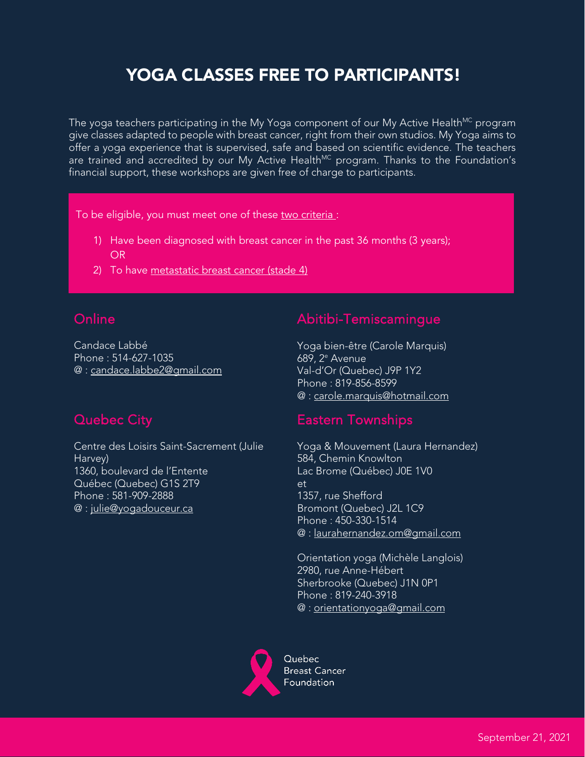# YOGA CLASSES FREE TO PARTICIPANTS!

The yoga teachers participating in the My Yoga component of our My Active Health<sup>MC</sup> program give classes adapted to people with breast cancer, right from their own studios. My Yoga aims to offer a yoga experience that is supervised, safe and based on scientific evidence. The teachers are trained and accredited by our My Active Health<sup>MC</sup> program. Thanks to the Foundation's financial support, these workshops are given free of charge to participants.

To be eligible, you must meet one of these two criteria :

- 1) Have been diagnosed with breast cancer in the past 36 months (3 years); OR
- 2) To have metastatic breast cancer (stade 4)

# **Online**

Candace Labbé Phone : 514-627-1035 @ : [candace.labbe2@gmail.com](file://FCSFS1/Common/70000_programmes_investissements/70%20200%20Programmes_soutien/70%20210.1%20Yoga-Onco/4.%20PROFESSEURS%20AFFILI%C3%89S/candace.labbe2@gmail.com)

#### Abitibi-Temiscamingue

Yoga bien-être (Carole Marquis) 689, 2e Avenue Val-d'Or (Quebec) J9P 1Y2 Phone : 819-856-8599 @ : [carole.marquis@hotmail.com](mailto:carole.marquis@hotmail.com)

### Quebec City

Centre des Loisirs Saint-Sacrement (Julie Harvey) 1360, boulevard de l'Entente Québec (Quebec) G1S 2T9 Phone : 581-909-2888 @ : [julie@yogadouceur.ca](file://FCSFS1/Common/70000_programmes_investissements/70%20200%20Programmes_soutien/70%20210.1%20Yoga-Onco/4.%20PROFESSEURS%20AFFILI%C3%89S/julie@yogadouceur.ca)

#### Eastern Townships

Yoga & Mouvement (Laura Hernandez) 584, Chemin Knowlton Lac Brome (Québec) J0E 1V0 et 1357, rue Shefford Bromont (Quebec) J2L 1C9 Phone : 450-330-1514 @ : [laurahernandez.om@gmail.com](mailto:laurahernandez.om@gmail.com)

Orientation yoga (Michèle Langlois) 2980, rue Anne-Hébert Sherbrooke (Quebec) J1N 0P1 Phone : 819-240-3918 @ : [orientationyoga@gmail.com](mailto:orientationyoga@gmail.com)



**Breast Cancer** Foundation